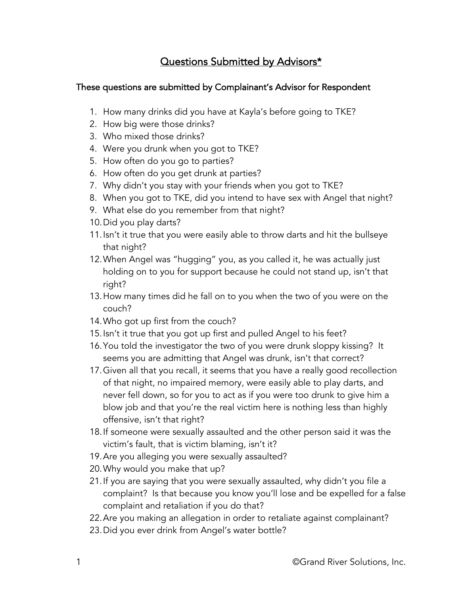# Questions Submitted by Advisors\*

#### These questions are submitted by Complainant's Advisor for Respondent

- 1. How many drinks did you have at Kayla's before going to TKE?
- 2. How big were those drinks?
- 3. Who mixed those drinks?
- 4. Were you drunk when you got to TKE?
- 5. How often do you go to parties?
- 6. How often do you get drunk at parties?
- 7. Why didn't you stay with your friends when you got to TKE?
- 8. When you got to TKE, did you intend to have sex with Angel that night?
- 9. What else do you remember from that night?
- 10.Did you play darts?
- 11.Isn't it true that you were easily able to throw darts and hit the bullseye that night?
- 12.When Angel was "hugging" you, as you called it, he was actually just holding on to you for support because he could not stand up, isn't that right?
- 13.How many times did he fall on to you when the two of you were on the couch?
- 14.Who got up first from the couch?
- 15.Isn't it true that you got up first and pulled Angel to his feet?
- 16.You told the investigator the two of you were drunk sloppy kissing? It seems you are admitting that Angel was drunk, isn't that correct?
- 17.Given all that you recall, it seems that you have a really good recollection of that night, no impaired memory, were easily able to play darts, and never fell down, so for you to act as if you were too drunk to give him a blow job and that you're the real victim here is nothing less than highly offensive, isn't that right?
- 18.If someone were sexually assaulted and the other person said it was the victim's fault, that is victim blaming, isn't it?
- 19.Are you alleging you were sexually assaulted?
- 20.Why would you make that up?
- 21.If you are saying that you were sexually assaulted, why didn't you file a complaint? Is that because you know you'll lose and be expelled for a false complaint and retaliation if you do that?
- 22.Are you making an allegation in order to retaliate against complainant?
- 23.Did you ever drink from Angel's water bottle?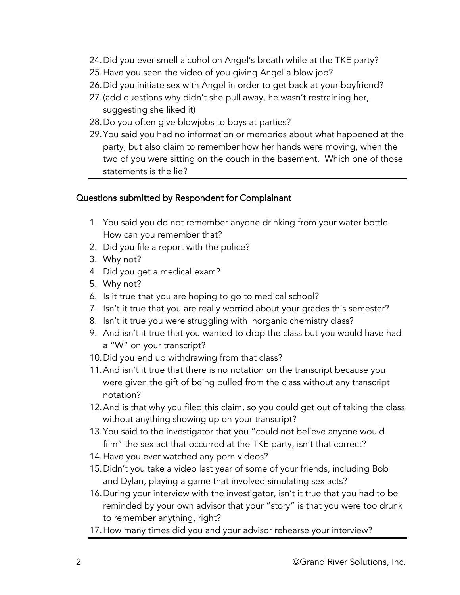- 24.Did you ever smell alcohol on Angel's breath while at the TKE party?
- 25.Have you seen the video of you giving Angel a blow job?
- 26.Did you initiate sex with Angel in order to get back at your boyfriend?
- 27.(add questions why didn't she pull away, he wasn't restraining her, suggesting she liked it)
- 28.Do you often give blowjobs to boys at parties?
- 29.You said you had no information or memories about what happened at the party, but also claim to remember how her hands were moving, when the two of you were sitting on the couch in the basement. Which one of those statements is the lie?

#### Questions submitted by Respondent for Complainant

- 1. You said you do not remember anyone drinking from your water bottle. How can you remember that?
- 2. Did you file a report with the police?
- 3. Why not?
- 4. Did you get a medical exam?
- 5. Why not?
- 6. Is it true that you are hoping to go to medical school?
- 7. Isn't it true that you are really worried about your grades this semester?
- 8. Isn't it true you were struggling with inorganic chemistry class?
- 9. And isn't it true that you wanted to drop the class but you would have had a "W" on your transcript?
- 10.Did you end up withdrawing from that class?
- 11.And isn't it true that there is no notation on the transcript because you were given the gift of being pulled from the class without any transcript notation?
- 12.And is that why you filed this claim, so you could get out of taking the class without anything showing up on your transcript?
- 13.You said to the investigator that you "could not believe anyone would film" the sex act that occurred at the TKE party, isn't that correct?
- 14.Have you ever watched any porn videos?
- 15.Didn't you take a video last year of some of your friends, including Bob and Dylan, playing a game that involved simulating sex acts?
- 16.During your interview with the investigator, isn't it true that you had to be reminded by your own advisor that your "story" is that you were too drunk to remember anything, right?
- 17.How many times did you and your advisor rehearse your interview?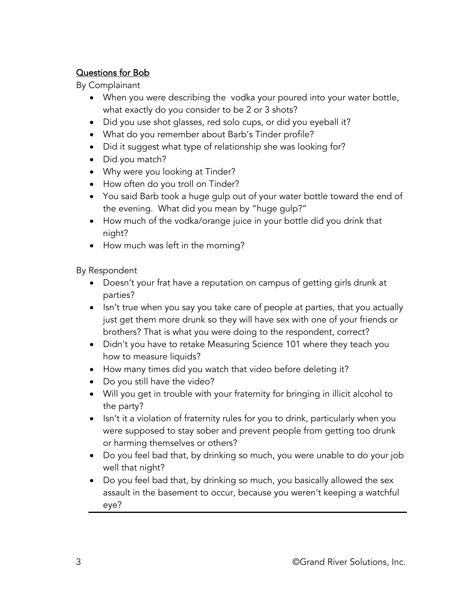### Questions for Bob

By Complainant

- what exactly do you consider to be 2 or 3 shots? • When you were describing the vodka your poured into your water bottle,
- Did you use shot glasses, red solo cups, or did you eyeball it?
- What do you remember about Barb's Tinder profile?
- Did it suggest what type of relationship she was looking for?
- Did you match?
- Why were you looking at Tinder?
- How often do you troll on Tinder?
- You said Barb took a huge gulp out of your water bottle toward the end of the evening. What did you mean by "huge gulp?"
- How much of the vodka/orange juice in your bottle did you drink that night?
- How much was left in the morning?

By Respondent

- Doesn't your frat have a reputation on campus of getting girls drunk at parties?
- Isn't true when you say you take care of people at parties, that you actually just get them more drunk so they will have sex with one of your friends or brothers? That is what you were doing to the respondent, correct?
- Didn't you have to retake Measuring Science 101 where they teach you how to measure liquids?
- How many times did you watch that video before deleting it?
- Do you still have the video?
- Will you get in trouble with your fraternity for bringing in illicit alcohol to the party?
- Isn't it a violation of fraternity rules for you to drink, particularly when you were supposed to stay sober and prevent people from getting too drunk or harming themselves or others?
- Do you feel bad that, by drinking so much, you were unable to do your job well that night?
- Do you feel bad that, by drinking so much, you basically allowed the sex assault in the basement to occur, because you weren't keeping a watchful eye?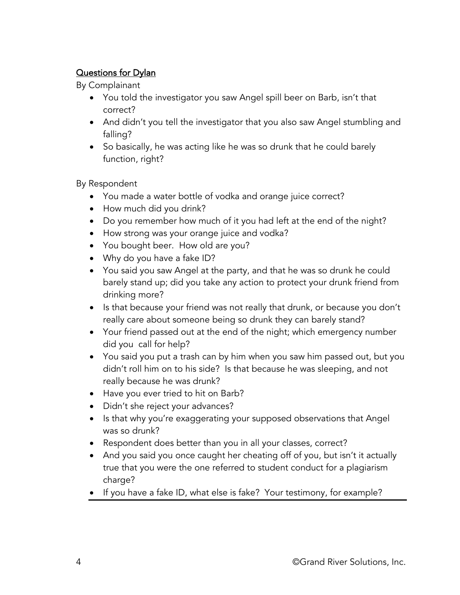### Questions for Dylan

By Complainant

- You told the investigator you saw Angel spill beer on Barb, isn't that correct?
- And didn't you tell the investigator that you also saw Angel stumbling and falling?
- So basically, he was acting like he was so drunk that he could barely function, right?

By Respondent

- You made a water bottle of vodka and orange juice correct?
- How much did you drink?
- Do you remember how much of it you had left at the end of the night?
- How strong was your orange juice and vodka?
- You bought beer. How old are you?
- Why do you have a fake ID?
- You said you saw Angel at the party, and that he was so drunk he could barely stand up; did you take any action to protect your drunk friend from drinking more?
- Is that because your friend was not really that drunk, or because you don't really care about someone being so drunk they can barely stand?
- Your friend passed out at the end of the night; which emergency number did you call for help?
- You said you put a trash can by him when you saw him passed out, but you didn't roll him on to his side? Is that because he was sleeping, and not really because he was drunk?
- Have you ever tried to hit on Barb?
- Didn't she reject your advances?
- Is that why you're exaggerating your supposed observations that Angel was so drunk?
- Respondent does better than you in all your classes, correct?
- And you said you once caught her cheating off of you, but isn't it actually true that you were the one referred to student conduct for a plagiarism charge?
- If you have a fake ID, what else is fake? Your testimony, for example?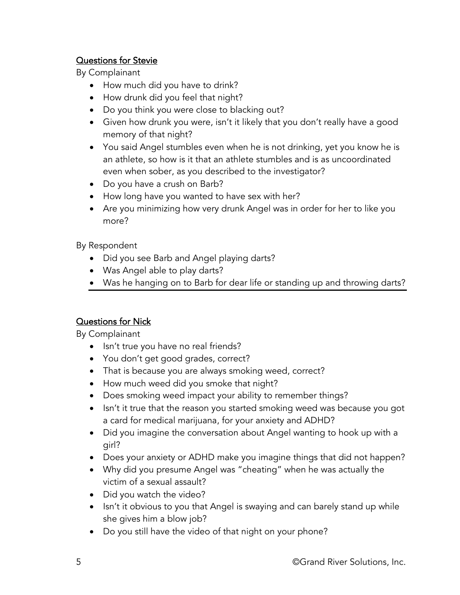#### Questions for Stevie

By Complainant

- How much did you have to drink?
- How drunk did you feel that night?
- Do you think you were close to blacking out?
- Given how drunk you were, isn't it likely that you don't really have a good memory of that night?
- You said Angel stumbles even when he is not drinking, yet you know he is an athlete, so how is it that an athlete stumbles and is as uncoordinated even when sober, as you described to the investigator?
- Do you have a crush on Barb?
- How long have you wanted to have sex with her?
- Are you minimizing how very drunk Angel was in order for her to like you more?

By Respondent

- Did you see Barb and Angel playing darts?
- Was Angel able to play darts?
- Was he hanging on to Barb for dear life or standing up and throwing darts?

## Questions for Nick

By Complainant

- Isn't true you have no real friends?
- You don't get good grades, correct?
- That is because you are always smoking weed, correct?
- How much weed did you smoke that night?
- Does smoking weed impact your ability to remember things?
- Isn't it true that the reason you started smoking weed was because you got a card for medical marijuana, for your anxiety and ADHD?
- Did you imagine the conversation about Angel wanting to hook up with a girl?
- Does your anxiety or ADHD make you imagine things that did not happen?
- Why did you presume Angel was "cheating" when he was actually the victim of a sexual assault?
- Did you watch the video?
- Isn't it obvious to you that Angel is swaying and can barely stand up while she gives him a blow job?
- Do you still have the video of that night on your phone?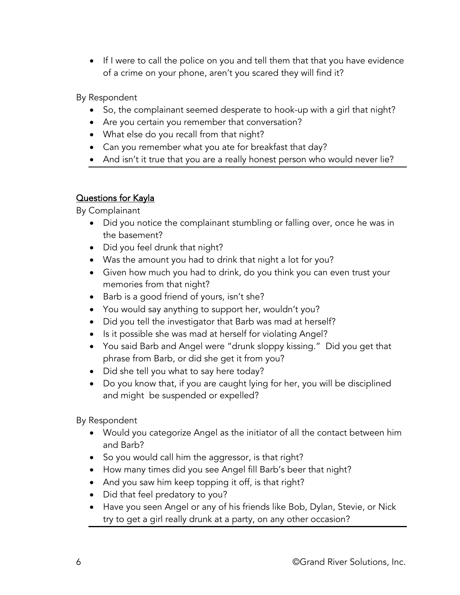• If I were to call the police on you and tell them that that you have evidence of a crime on your phone, aren't you scared they will find it?

By Respondent

- So, the complainant seemed desperate to hook-up with a girl that night?
- Are you certain you remember that conversation?
- What else do you recall from that night?
- Can you remember what you ate for breakfast that day?
- And isn't it true that you are a really honest person who would never lie?

#### Questions for Kayla

By Complainant

- Did you notice the complainant stumbling or falling over, once he was in the basement?
- Did you feel drunk that night?
- Was the amount you had to drink that night a lot for you?
- Given how much you had to drink, do you think you can even trust your memories from that night?
- Barb is a good friend of yours, isn't she?
- You would say anything to support her, wouldn't you?
- Did you tell the investigator that Barb was mad at herself?
- Is it possible she was mad at herself for violating Angel?
- You said Barb and Angel were "drunk sloppy kissing." Did you get that phrase from Barb, or did she get it from you?
- Did she tell you what to say here today?
- Do you know that, if you are caught lying for her, you will be disciplined and might be suspended or expelled?

By Respondent

- Would you categorize Angel as the initiator of all the contact between him and Barb?
- So you would call him the aggressor, is that right?
- How many times did you see Angel fill Barb's beer that night?
- And you saw him keep topping it off, is that right?
- Did that feel predatory to you?
- Have you seen Angel or any of his friends like Bob, Dylan, Stevie, or Nick try to get a girl really drunk at a party, on any other occasion?